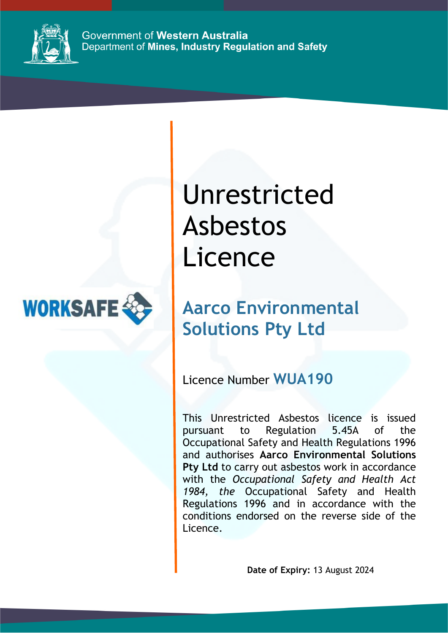

Government of Western Australia Department of Mines, Industry Regulation and Safety



Unrestricted Asbestos Licence

## **Aarco Environmental Solutions Pty Ltd**

Licence Number **WUA190**

This Unrestricted Asbestos licence is issued pursuant to Regulation 5.45A of the Occupational Safety and Health Regulations 1996 and authorises **Aarco Environmental Solutions**  Pty Ltd to carry out asbestos work in accordance with the *Occupational Safety and Health Act 1984, the* Occupational Safety and Health Regulations 1996 and in accordance with the conditions endorsed on the reverse side of the Licence.